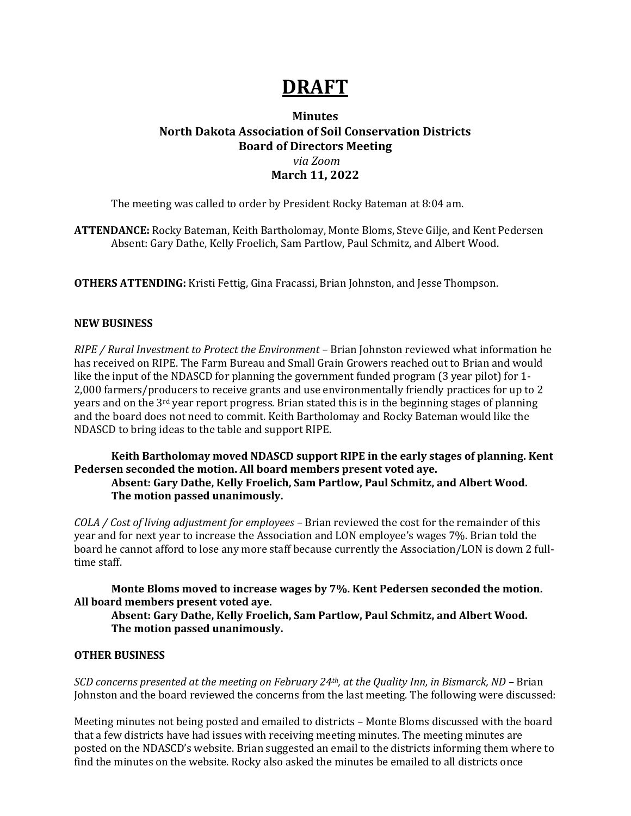## **DRAFT**

### **Minutes North Dakota Association of Soil Conservation Districts Board of Directors Meeting** *via Zoom* **March 11, 2022**

The meeting was called to order by President Rocky Bateman at 8:04 am.

**ATTENDANCE:** Rocky Bateman, Keith Bartholomay, Monte Bloms, Steve Gilje, and Kent Pedersen Absent: Gary Dathe, Kelly Froelich, Sam Partlow, Paul Schmitz, and Albert Wood.

**OTHERS ATTENDING:** Kristi Fettig, Gina Fracassi, Brian Johnston, and Jesse Thompson.

### **NEW BUSINESS**

*RIPE / Rural Investment to Protect the Environment –* Brian Johnston reviewed what information he has received on RIPE. The Farm Bureau and Small Grain Growers reached out to Brian and would like the input of the NDASCD for planning the government funded program (3 year pilot) for 1- 2,000 farmers/producers to receive grants and use environmentally friendly practices for up to 2 years and on the 3rd year report progress. Brian stated this is in the beginning stages of planning and the board does not need to commit. Keith Bartholomay and Rocky Bateman would like the NDASCD to bring ideas to the table and support RIPE.

### **Keith Bartholomay moved NDASCD support RIPE in the early stages of planning. Kent Pedersen seconded the motion. All board members present voted aye. Absent: Gary Dathe, Kelly Froelich, Sam Partlow, Paul Schmitz, and Albert Wood.**

# **The motion passed unanimously.**

*COLA / Cost of living adjustment for employees –* Brian reviewed the cost for the remainder of this year and for next year to increase the Association and LON employee's wages 7%. Brian told the board he cannot afford to lose any more staff because currently the Association/LON is down 2 fulltime staff.

### **Monte Bloms moved to increase wages by 7%. Kent Pedersen seconded the motion. All board members present voted aye.**

### **Absent: Gary Dathe, Kelly Froelich, Sam Partlow, Paul Schmitz, and Albert Wood. The motion passed unanimously.**

### **OTHER BUSINESS**

*SCD concerns presented at the meeting on February 24th, at the Quality Inn, in Bismarck, ND –* Brian Johnston and the board reviewed the concerns from the last meeting. The following were discussed:

Meeting minutes not being posted and emailed to districts – Monte Bloms discussed with the board that a few districts have had issues with receiving meeting minutes. The meeting minutes are posted on the NDASCD's website. Brian suggested an email to the districts informing them where to find the minutes on the website. Rocky also asked the minutes be emailed to all districts once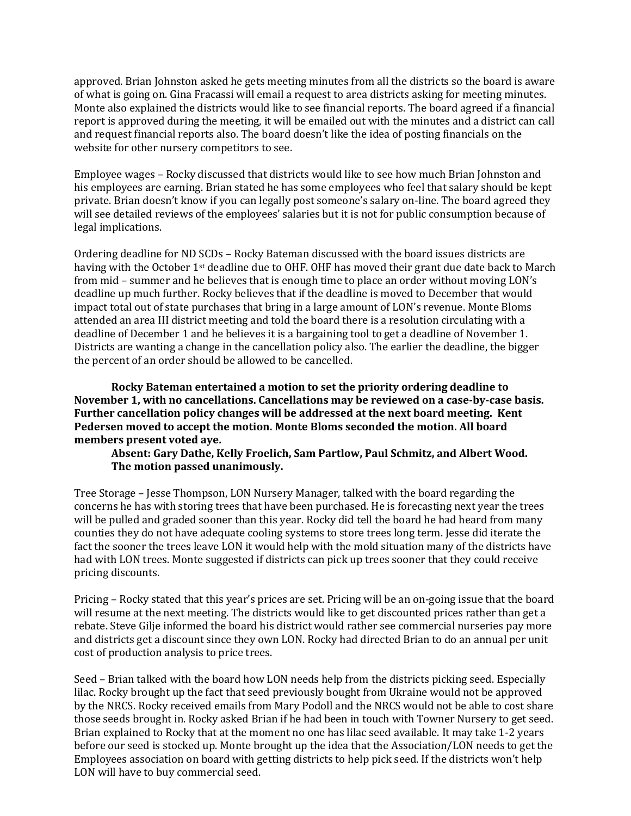approved. Brian Johnston asked he gets meeting minutes from all the districts so the board is aware of what is going on. Gina Fracassi will email a request to area districts asking for meeting minutes. Monte also explained the districts would like to see financial reports. The board agreed if a financial report is approved during the meeting, it will be emailed out with the minutes and a district can call and request financial reports also. The board doesn't like the idea of posting financials on the website for other nursery competitors to see.

Employee wages – Rocky discussed that districts would like to see how much Brian Johnston and his employees are earning. Brian stated he has some employees who feel that salary should be kept private. Brian doesn't know if you can legally post someone's salary on-line. The board agreed they will see detailed reviews of the employees' salaries but it is not for public consumption because of legal implications.

Ordering deadline for ND SCDs – Rocky Bateman discussed with the board issues districts are having with the October 1<sup>st</sup> deadline due to OHF. OHF has moved their grant due date back to March from mid – summer and he believes that is enough time to place an order without moving LON's deadline up much further. Rocky believes that if the deadline is moved to December that would impact total out of state purchases that bring in a large amount of LON's revenue. Monte Bloms attended an area III district meeting and told the board there is a resolution circulating with a deadline of December 1 and he believes it is a bargaining tool to get a deadline of November 1. Districts are wanting a change in the cancellation policy also. The earlier the deadline, the bigger the percent of an order should be allowed to be cancelled.

**Rocky Bateman entertained a motion to set the priority ordering deadline to November 1, with no cancellations. Cancellations may be reviewed on a case-by-case basis. Further cancellation policy changes will be addressed at the next board meeting. Kent Pedersen moved to accept the motion. Monte Bloms seconded the motion. All board members present voted aye.**

**Absent: Gary Dathe, Kelly Froelich, Sam Partlow, Paul Schmitz, and Albert Wood. The motion passed unanimously.**

Tree Storage – Jesse Thompson, LON Nursery Manager, talked with the board regarding the concerns he has with storing trees that have been purchased. He is forecasting next year the trees will be pulled and graded sooner than this year. Rocky did tell the board he had heard from many counties they do not have adequate cooling systems to store trees long term. Jesse did iterate the fact the sooner the trees leave LON it would help with the mold situation many of the districts have had with LON trees. Monte suggested if districts can pick up trees sooner that they could receive pricing discounts.

Pricing – Rocky stated that this year's prices are set. Pricing will be an on-going issue that the board will resume at the next meeting. The districts would like to get discounted prices rather than get a rebate. Steve Gilje informed the board his district would rather see commercial nurseries pay more and districts get a discount since they own LON. Rocky had directed Brian to do an annual per unit cost of production analysis to price trees.

Seed – Brian talked with the board how LON needs help from the districts picking seed. Especially lilac. Rocky brought up the fact that seed previously bought from Ukraine would not be approved by the NRCS. Rocky received emails from Mary Podoll and the NRCS would not be able to cost share those seeds brought in. Rocky asked Brian if he had been in touch with Towner Nursery to get seed. Brian explained to Rocky that at the moment no one has lilac seed available. It may take 1-2 years before our seed is stocked up. Monte brought up the idea that the Association/LON needs to get the Employees association on board with getting districts to help pick seed. If the districts won't help LON will have to buy commercial seed.